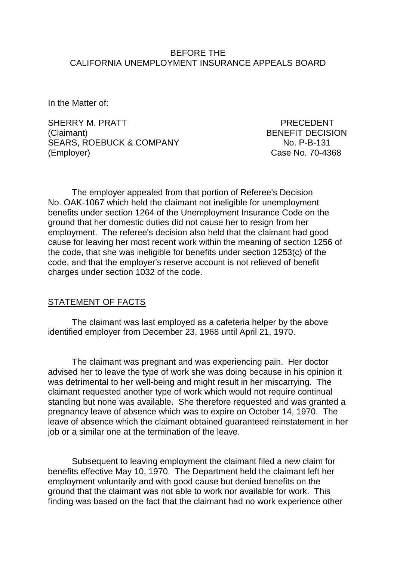### BEFORE THE CALIFORNIA UNEMPLOYMENT INSURANCE APPEALS BOARD

In the Matter of:

SHERRY M. PRATT PRECEDENT (Claimant) BENEFIT DECISION SEARS, ROEBUCK & COMPANY NO. P-B-131 (Employer) Case No. 70-4368

The employer appealed from that portion of Referee's Decision No. OAK-1067 which held the claimant not ineligible for unemployment benefits under section 1264 of the Unemployment Insurance Code on the ground that her domestic duties did not cause her to resign from her employment. The referee's decision also held that the claimant had good cause for leaving her most recent work within the meaning of section 1256 of the code, that she was ineligible for benefits under section 1253(c) of the code, and that the employer's reserve account is not relieved of benefit charges under section 1032 of the code.

## STATEMENT OF FACTS

The claimant was last employed as a cafeteria helper by the above identified employer from December 23, 1968 until April 21, 1970.

The claimant was pregnant and was experiencing pain. Her doctor advised her to leave the type of work she was doing because in his opinion it was detrimental to her well-being and might result in her miscarrying. The claimant requested another type of work which would not require continual standing but none was available. She therefore requested and was granted a pregnancy leave of absence which was to expire on October 14, 1970. The leave of absence which the claimant obtained guaranteed reinstatement in her job or a similar one at the termination of the leave.

Subsequent to leaving employment the claimant filed a new claim for benefits effective May 10, 1970. The Department held the claimant left her employment voluntarily and with good cause but denied benefits on the ground that the claimant was not able to work nor available for work. This finding was based on the fact that the claimant had no work experience other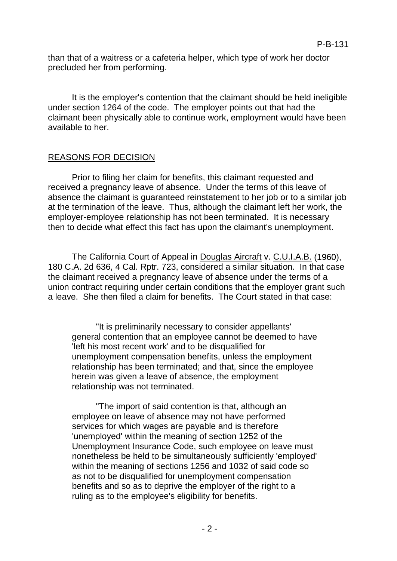than that of a waitress or a cafeteria helper, which type of work her doctor precluded her from performing.

It is the employer's contention that the claimant should be held ineligible under section 1264 of the code. The employer points out that had the claimant been physically able to continue work, employment would have been available to her.

## REASONS FOR DECISION

Prior to filing her claim for benefits, this claimant requested and received a pregnancy leave of absence. Under the terms of this leave of absence the claimant is guaranteed reinstatement to her job or to a similar job at the termination of the leave. Thus, although the claimant left her work, the employer-employee relationship has not been terminated. It is necessary then to decide what effect this fact has upon the claimant's unemployment.

The California Court of Appeal in Douglas Aircraft v. C.U.I.A.B. (1960), 180 C.A. 2d 636, 4 Cal. Rptr. 723, considered a similar situation. In that case the claimant received a pregnancy leave of absence under the terms of a union contract requiring under certain conditions that the employer grant such a leave. She then filed a claim for benefits. The Court stated in that case:

"It is preliminarily necessary to consider appellants' general contention that an employee cannot be deemed to have 'left his most recent work' and to be disqualified for unemployment compensation benefits, unless the employment relationship has been terminated; and that, since the employee herein was given a leave of absence, the employment relationship was not terminated.

"The import of said contention is that, although an employee on leave of absence may not have performed services for which wages are payable and is therefore 'unemployed' within the meaning of section 1252 of the Unemployment Insurance Code, such employee on leave must nonetheless be held to be simultaneously sufficiently 'employed' within the meaning of sections 1256 and 1032 of said code so as not to be disqualified for unemployment compensation benefits and so as to deprive the employer of the right to a ruling as to the employee's eligibility for benefits.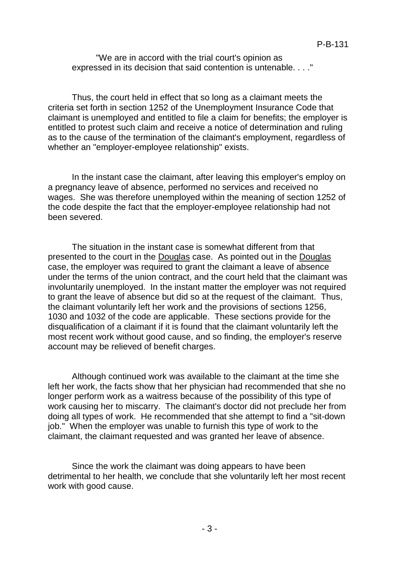"We are in accord with the trial court's opinion as expressed in its decision that said contention is untenable. . . ."

Thus, the court held in effect that so long as a claimant meets the criteria set forth in section 1252 of the Unemployment Insurance Code that claimant is unemployed and entitled to file a claim for benefits; the employer is entitled to protest such claim and receive a notice of determination and ruling as to the cause of the termination of the claimant's employment, regardless of whether an "employer-employee relationship" exists.

In the instant case the claimant, after leaving this employer's employ on a pregnancy leave of absence, performed no services and received no wages. She was therefore unemployed within the meaning of section 1252 of the code despite the fact that the employer-employee relationship had not been severed.

The situation in the instant case is somewhat different from that presented to the court in the Douglas case. As pointed out in the Douglas case, the employer was required to grant the claimant a leave of absence under the terms of the union contract, and the court held that the claimant was involuntarily unemployed. In the instant matter the employer was not required to grant the leave of absence but did so at the request of the claimant. Thus, the claimant voluntarily left her work and the provisions of sections 1256, 1030 and 1032 of the code are applicable. These sections provide for the disqualification of a claimant if it is found that the claimant voluntarily left the most recent work without good cause, and so finding, the employer's reserve account may be relieved of benefit charges.

Although continued work was available to the claimant at the time she left her work, the facts show that her physician had recommended that she no longer perform work as a waitress because of the possibility of this type of work causing her to miscarry. The claimant's doctor did not preclude her from doing all types of work. He recommended that she attempt to find a "sit-down job." When the employer was unable to furnish this type of work to the claimant, the claimant requested and was granted her leave of absence.

Since the work the claimant was doing appears to have been detrimental to her health, we conclude that she voluntarily left her most recent work with good cause.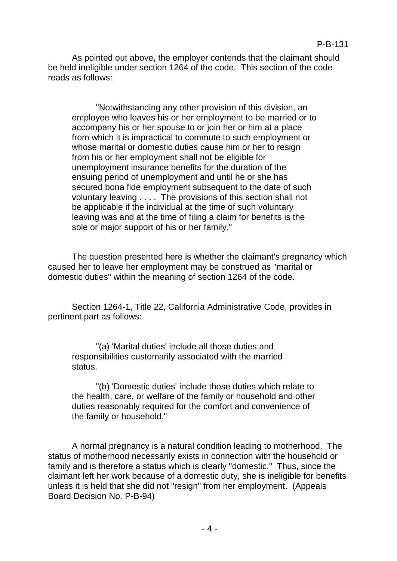As pointed out above, the employer contends that the claimant should be held ineligible under section 1264 of the code. This section of the code reads as follows:

"Notwithstanding any other provision of this division, an employee who leaves his or her employment to be married or to accompany his or her spouse to or join her or him at a place from which it is impractical to commute to such employment or whose marital or domestic duties cause him or her to resign from his or her employment shall not be eligible for unemployment insurance benefits for the duration of the ensuing period of unemployment and until he or she has secured bona fide employment subsequent to the date of such voluntary leaving . . . . The provisions of this section shall not be applicable if the individual at the time of such voluntary leaving was and at the time of filing a claim for benefits is the sole or major support of his or her family."

The question presented here is whether the claimant's pregnancy which caused her to leave her employment may be construed as "marital or domestic duties" within the meaning of section 1264 of the code.

Section 1264-1, Title 22, California Administrative Code, provides in pertinent part as follows:

"(a) 'Marital duties' include all those duties and responsibilities customarily associated with the married status.

"(b) 'Domestic duties' include those duties which relate to the health, care, or welfare of the family or household and other duties reasonably required for the comfort and convenience of the family or household."

A normal pregnancy is a natural condition leading to motherhood. The status of motherhood necessarily exists in connection with the household or family and is therefore a status which is clearly "domestic." Thus, since the claimant left her work because of a domestic duty, she is ineligible for benefits unless it is held that she did not "resign" from her employment. (Appeals Board Decision No. P-B-94)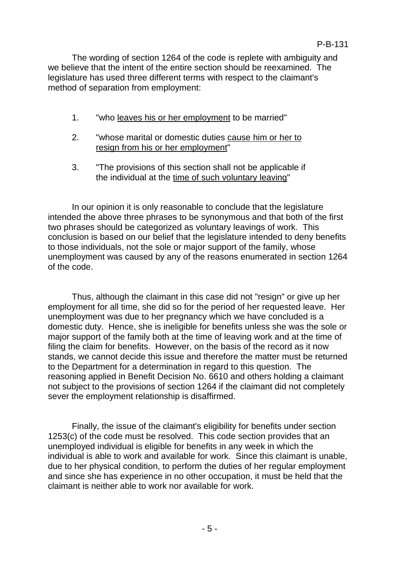The wording of section 1264 of the code is replete with ambiguity and we believe that the intent of the entire section should be reexamined. The legislature has used three different terms with respect to the claimant's method of separation from employment:

- 1. "who leaves his or her employment to be married"
- 2. "whose marital or domestic duties cause him or her to resign from his or her employment"
- 3. "The provisions of this section shall not be applicable if the individual at the time of such voluntary leaving"

In our opinion it is only reasonable to conclude that the legislature intended the above three phrases to be synonymous and that both of the first two phrases should be categorized as voluntary leavings of work. This conclusion is based on our belief that the legislature intended to deny benefits to those individuals, not the sole or major support of the family, whose unemployment was caused by any of the reasons enumerated in section 1264 of the code.

Thus, although the claimant in this case did not "resign" or give up her employment for all time, she did so for the period of her requested leave. Her unemployment was due to her pregnancy which we have concluded is a domestic duty. Hence, she is ineligible for benefits unless she was the sole or major support of the family both at the time of leaving work and at the time of filing the claim for benefits. However, on the basis of the record as it now stands, we cannot decide this issue and therefore the matter must be returned to the Department for a determination in regard to this question. The reasoning applied in Benefit Decision No. 6610 and others holding a claimant not subject to the provisions of section 1264 if the claimant did not completely sever the employment relationship is disaffirmed.

Finally, the issue of the claimant's eligibility for benefits under section 1253(c) of the code must be resolved. This code section provides that an unemployed individual is eligible for benefits in any week in which the individual is able to work and available for work. Since this claimant is unable, due to her physical condition, to perform the duties of her regular employment and since she has experience in no other occupation, it must be held that the claimant is neither able to work nor available for work.